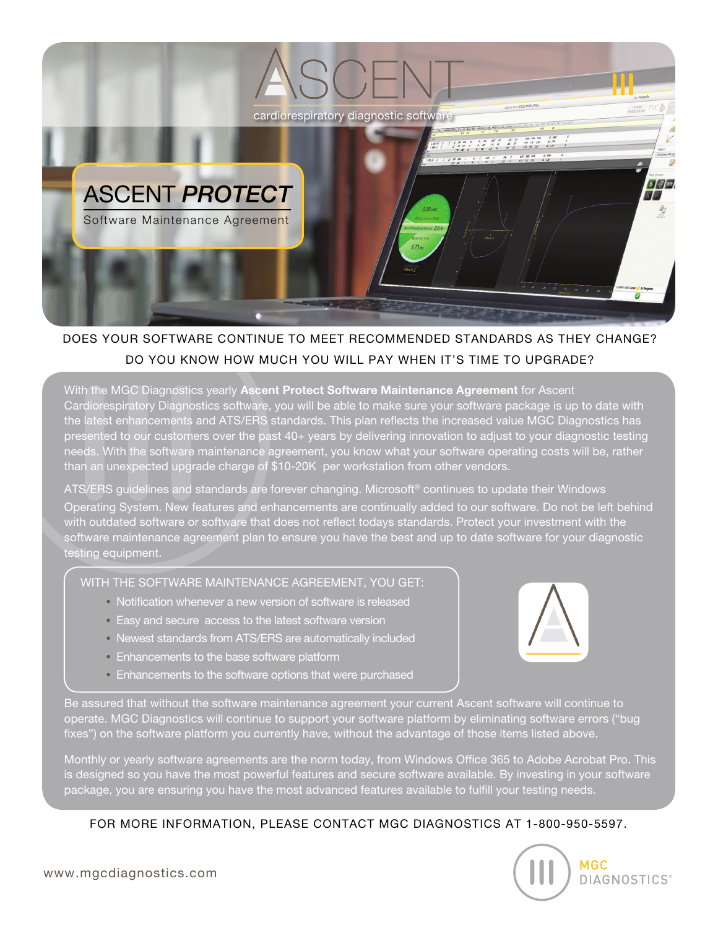

## DOES YOUR SOFTWARE CONTINUE TO MEET RECOMMENDED STANDARDS AS THEY CHANGE? DO YOU KNOW HOW MUCH YOU WILL PAY WHEN IT'S TIME TO UPGRADE?

With the MGC Diagnostics yearly Ascent Protect Software Maintenance Agreement for Ascent Cardiorespiratory Diagnostics software, you will be able to make sure your software package is up to date with the latest enhancements and ATS/ERS standards. This plan reflects the increased value MGC Diagnostics has presented to our customers over the past 40+ years by delivering innovation to adjust to your diagnostic testing needs. With the software maintenance agreement, you know what your software operating costs will be, rather than an unexpected upgrade charge of \$10-20K per workstation from other vendors.

ATS/ERS guidelines and standards are forever changing. Microsoft® continues to update their Windows Operating System. New features and enhancements are continually added to our software. Do not be left behind with outdated software or software that does not reflect todays standards. Protect your investment with the software maintenance agreement plan to ensure you have the best and up to date software for your diagnostic testing equipment.

## WITH THE SOFTWARE MAINTENANCE AGREEMENT, YOU GET:

- **•** Notification whenever a new version of software is released
- **•** Easy and secure access to the latest software version
- **•** Newest standards from ATS/ERS are automatically included
- **•** Enhancements to the base software platform
- **•** Enhancements to the software options that were purchased



Be assured that without the software maintenance agreement your current Ascent software will continue to operate. MGC Diagnostics will continue to support your software platform by eliminating software errors ("bug fixes") on the software platform you currently have, without the advantage of those items listed above.

Monthly or yearly software agreements are the norm today, from Windows Office 365 to Adobe Acrobat Pro. This is designed so you have the most powerful features and secure software available. By investing in your software package, you are ensuring you have the most advanced features available to fulfill your testing needs.

## FOR MORE INFORMATION, PLEASE CONTACT MGC DIAGNOSTICS AT 1-800-950-5597.